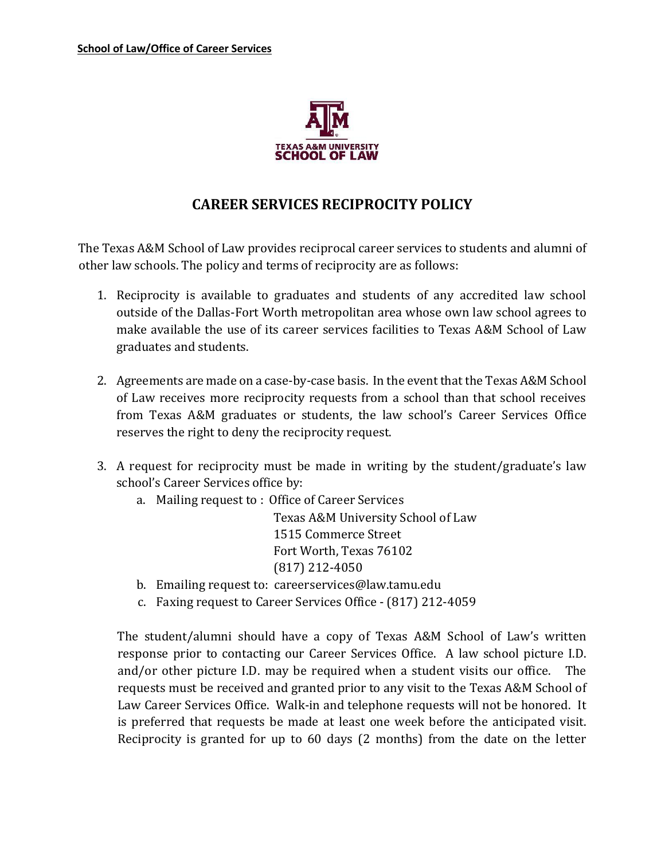

## **CAREER SERVICES RECIPROCITY POLICY**

The Texas A&M School of Law provides reciprocal career services to students and alumni of other law schools. The policy and terms of reciprocity are as follows:

- 1. Reciprocity is available to graduates and students of any accredited law school outside of the Dallas-Fort Worth metropolitan area whose own law school agrees to make available the use of its career services facilities to Texas A&M School of Law graduates and students.
- 2. Agreements are made on a case-by-case basis. In the event that the Texas A&M School of Law receives more reciprocity requests from a school than that school receives from Texas A&M graduates or students, the law school's Career Services Office reserves the right to deny the reciprocity request.
- 3. A request for reciprocity must be made in writing by the student/graduate's law school's Career Services office by:
	- a. Mailing request to : Office of Career Services

Texas A&M University School of Law 1515 Commerce Street Fort Worth, Texas 76102 (817) 212-4050

- b. Emailing request to: careerservices@law.tamu.edu
- c. Faxing request to Career Services Office (817) 212-4059

The student/alumni should have a copy of Texas A&M School of Law's written response prior to contacting our Career Services Office. A law school picture I.D. and/or other picture I.D. may be required when a student visits our office. The requests must be received and granted prior to any visit to the Texas A&M School of Law Career Services Office. Walk-in and telephone requests will not be honored. It is preferred that requests be made at least one week before the anticipated visit. Reciprocity is granted for up to 60 days (2 months) from the date on the letter